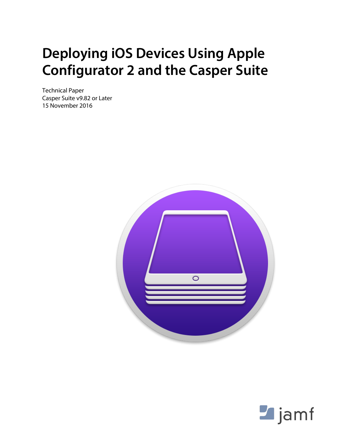## **Deploying iOS Devices Using Apple Configurator 2 and the Casper Suite**

Technical Paper Casper Suite v9.82 or Later 15 November 2016



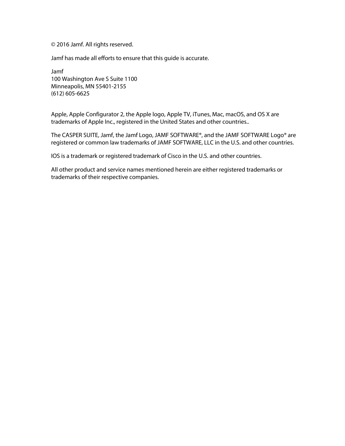© 2016 Jamf. All rights reserved.

Jamf has made all efforts to ensure that this guide is accurate.

Jamf 100 Washington Ave S Suite 1100 Minneapolis, MN 55401-2155 (612) 605-6625

Apple, Apple Configurator 2, the Apple logo, Apple TV, iTunes, Mac, macOS, and OS X are trademarks of Apple Inc., registered in the United States and other countries..

The CASPER SUITE, Jamf, the Jamf Logo, JAMF SOFTWARE®, and the JAMF SOFTWARE Logo® are registered or common law trademarks of JAMF SOFTWARE, LLC in the U.S. and other countries.

IOS is a trademark or registered trademark of Cisco in the U.S. and other countries.

All other product and service names mentioned herein are either registered trademarks or trademarks of their respective companies.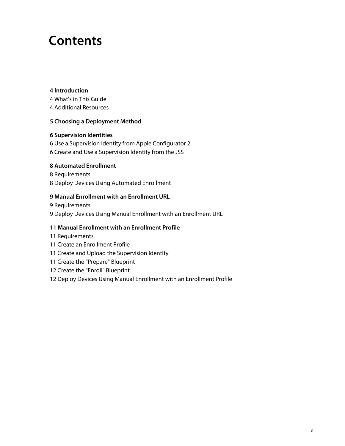## **Contents**

#### **[Introduction](#page-3-0)**

[What's in This Guide](#page-3-1)

[Additional Resources](#page-3-2)

#### **[Choosing a Deployment Method](#page-4-0)**

#### **[Supervision Identities](#page-5-0)**

 [Use a Supervision Identity from Apple Configurator 2](#page-5-1) [Create and Use a Supervision Identity from the JSS](#page-6-0)

#### **[Automated Enrollment](#page-7-0)**

 [Requirements](#page-7-1) [Deploy Devices Using Automated Enrollment](#page-7-2)

#### **[Manual Enrollment with an Enrollment URL](#page-8-0)**

 [Requirements](#page-8-1) [Deploy Devices Using Manual Enrollment with an Enrollment URL](#page-8-2)

#### **[Manual Enrollment with an Enrollment Profile](#page-10-0)**

- [Requirements](#page-10-1)
- [Create an Enrollment Profile](#page-10-2)
- [Create and Upload the Supervision Identity](#page-10-3)
- [Create the "Prepare" Blueprint](#page-10-4)
- [Create the "Enroll" Blueprint](#page-11-0)
- [Deploy Devices Using Manual Enrollment with an Enrollment Profile](#page-11-1)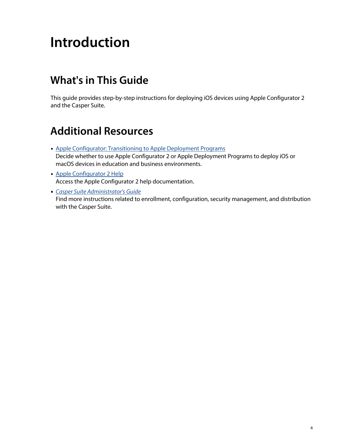# <span id="page-3-0"></span>**Introduction**

## <span id="page-3-1"></span>**What's in This Guide**

This guide provides step-by-step instructions for deploying iOS devices using Apple Configurator 2 and the Casper Suite.

## <span id="page-3-2"></span>**Additional Resources**

- **[Apple Configurator: Transitioning to Apple Deployment Programs](https://support.apple.com/en-us/HT202977)** Decide whether to use Apple Configurator 2 or Apple Deployment Programs to deploy iOS or macOS devices in education and business environments.
- [Apple Configurator 2 Help](http://help.apple.com/configurator/mac/2.1/#/) Access the Apple Configurator 2 help documentation.

*[Casper Suite Administrator's Guide](http://docs.jamf.com/casper-suite/administrator-guide/index.html)* Find more instructions related to enrollment, configuration, security management, and distribution with the Casper Suite.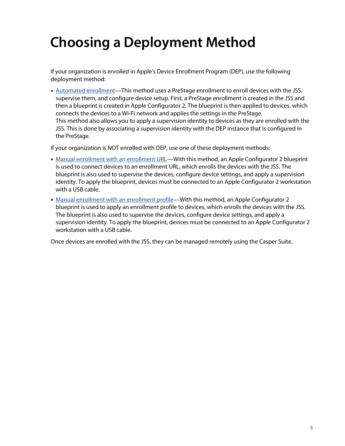# <span id="page-4-0"></span>**Choosing a Deployment Method**

If your organization is enrolled in Apple's Device Enrollment Program (DEP), use the following deployment method:

[Automated enrollment](#page-7-0)—This method uses a PreStage enrollment to enroll devices with the JSS, supervise them, and configure device setup. First, a PreStage enrollment is created in the JSS and then a blueprint is created in Apple Configurator 2. The blueprint is then applied to devices, which connects the devices to a Wi-Fi network and applies the settings in the PreStage. This method also allows you to apply a supervision identity to devices as they are enrolled with the JSS. This is done by associating a supervision identity with the DEP instance that is configured in the PreStage.

If your organization is NOT enrolled with DEP, use one of these deployment methods:

- [Manual enrollment with an enrollment URL—](#page-8-0)With this method, an Apple Configurator 2 blueprint is used to connect devices to an enrollment URL, which enrolls the devices with the JSS. The blueprint is also used to supervise the devices, configure device settings, and apply a supervision identity. To apply the blueprint, devices must be connected to an Apple Configurator 2 workstation with a USB cable.
- [Manual enrollment with an enrollment profile](#page-10-0)––With this method, an Apple Configurator 2 blueprint is used to apply an enrollment profile to devices, which enrolls the devices with the JSS. The blueprint is also used to supervise the devices, configure device settings, and apply a supervision identity. To apply the blueprint, devices must be connected to an Apple Configurator 2 workstation with a USB cable.

Once devices are enrolled with the JSS, they can be managed remotely using the Casper Suite.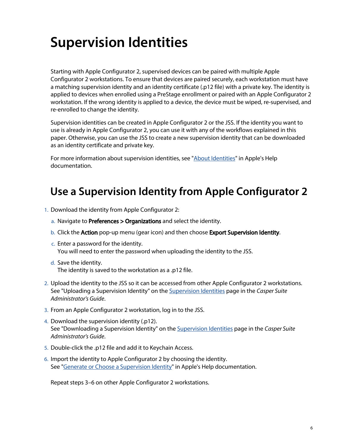# <span id="page-5-0"></span>**Supervision Identities**

Starting with Apple Configurator 2, supervised devices can be paired with multiple Apple Configurator 2 workstations. To ensure that devices are paired securely, each workstation must have a matching supervision identity and an identity certificate (.p12 file) with a private key. The identity is applied to devices when enrolled using a PreStage enrollment or paired with an Apple Configurator 2 workstation. If the wrong identity is applied to a device, the device must be wiped, re-supervised, and re-enrolled to change the identity.

Supervision identities can be created in Apple Configurator 2 or the JSS. If the identity you want to use is already in Apple Configurator 2, you can use it with any of the workflows explained in this paper. Otherwise, you can use the JSS to create a new supervision identity that can be downloaded as an identity certificate and private key.

For more information about supervision identities, see "[About Identities"](http://help.apple.com/configurator/mac/2.1/#/cad4405b63fd) in Apple's Help documentation.

### <span id="page-5-1"></span>**Use a Supervision Identity from Apple Configurator 2**

- 1. Download the identity from Apple Configurator 2:
	- a. Navigate to **Preferences > Organizations** and select the identity.
	- b. Click the **Action** pop-up menu (gear icon) and then choose **Export Supervision Identity**.
	- c. Enter a password for the identity. You will need to enter the password when uploading the identity to the JSS.
	- d. Save the identity. The identity is saved to the workstation as a .p12 file.
- 2. Upload the identity to the JSS so it can be accessed from other Apple Configurator 2 workstations. See "Uploading a Supervision Identity" on the [Supervision Identities](http://docs.jamf.com/casper-suite/administrator-guide/Supervision_Identities.html) page in the *Casper Suite Administrator's Guide*.
- 3. From an Apple Configurator 2 workstation, log in to the JSS.
- 4. Download the supervision identity (.p12). See "Downloading a Supervision Identity" on the [Supervision Identities](http://docs.jamf.com/casper-suite/administrator-guide/Supervision_Identities.html) page in the *Casper Suite Administrator's Guide*.
- 5. Double-click the .p12 file and add it to Keychain Access.
- 6. Import the identity to Apple Configurator 2 by choosing the identity. See "[Generate or Choose a Supervision Identity](http://help.apple.com/configurator/mac/2.1/#/cad801ee9c31)" in Apple's Help documentation.

Repeat steps 3–6 on other Apple Configurator 2 workstations.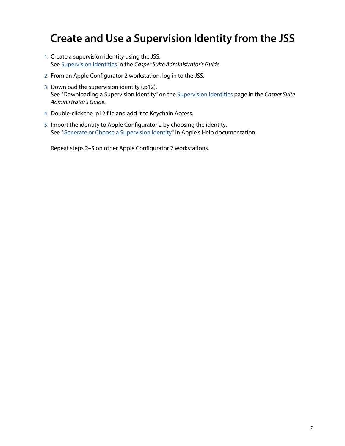## **Create and Use a Supervision Identity from the JSS**

- <span id="page-6-0"></span>1. Create a supervision identity using the JSS. See [Supervision Identities](http://docs.jamf.com/casper-suite/administrator-guide/Supervision_Identities.html) in the *Casper Suite Administrator's Guide*.
- 2. From an Apple Configurator 2 workstation, log in to the JSS.
- 3. Download the supervision identity (.p12). See "Downloading a Supervision Identity" on the [Supervision Identities](http://docs.jamf.com/casper-suite/administrator-guide/Supervision_Identities.html) page in the *Casper Suite Administrator's Guide*.
- 4. Double-click the .p12 file and add it to Keychain Access.
- 5. Import the identity to Apple Configurator 2 by choosing the identity. See "[Generate or Choose a Supervision Identity](http://help.apple.com/configurator/mac/2.1/#/cad801ee9c31)" in Apple's Help documentation.

Repeat steps 2–5 on other Apple Configurator 2 workstations.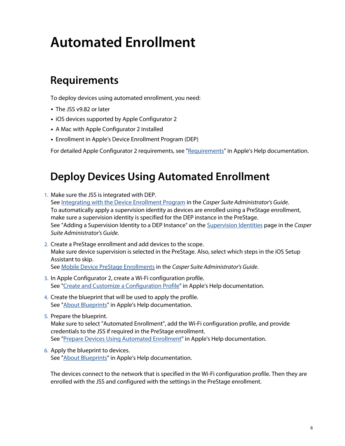# <span id="page-7-0"></span>**Automated Enrollment**

## <span id="page-7-1"></span>**Requirements**

To deploy devices using automated enrollment, you need:

- The JSS v9.82 or later
- iOS devices supported by Apple Configurator 2
- A Mac with Apple Configurator 2 installed
- Enrollment in Apple's Device Enrollment Program (DEP)

For detailed Apple Configurator 2 requirements, see "[Requirements"](http://help.apple.com/configurator/mac/2.1/#/cadbf9a73b) in Apple's Help documentation.

### **Deploy Devices Using Automated Enrollment**

<span id="page-7-2"></span>1. Make sure the JSS is integrated with DEP.

See [Integrating with the Device Enrollment Program](http://docs.jamf.com/casper-suite/administrator-guide/Integrating_with_the_Device_Enrollment_Program.html) in the *Casper Suite Administrator's Guide*. To automatically apply a supervision identity as devices are enrolled using a PreStage enrollment, make sure a supervision identity is specified for the DEP instance in the PreStage. See "Adding a Supervision Identity to a DEP Instance" on the [Supervision Identities](http://docs.jamf.com/casper-suite/administrator-guide/Supervision_Identities.html) page in the *Casper Suite Administrator's Guide*.

- 2. Create a PreStage enrollment and add devices to the scope. Make sure device supervision is selected in the PreStage. Also, select which steps in the iOS Setup Assistant to skip. See [Mobile Device PreStage Enrollments](http://docs.jamf.com/casper-suite/administrator-guide/Mobile_Device_PreStage_Enrollments.html) in the *Casper Suite Administrator's Guide*.
- 3. In Apple Configurator 2, create a Wi-Fi configuration profile. See "[Create and Customize a Configuration Profile"](http://help.apple.com/configurator/mac/2.1/#/cad51314d0e) in Apple's Help documentation.
- 4. Create the blueprint that will be used to apply the profile. See "**[About Blueprints](http://help.apple.com/configurator/mac/2.1/#/cad5b401e306)**" in Apple's Help documentation.
- 5. Prepare the blueprint. Make sure to select "Automated Enrollment", add the Wi-Fi configuration profile, and provide credentials to the JSS if required in the PreStage enrollment. See "[Prepare Devices Using Automated Enrollment](http://help.apple.com/configurator/mac/2.1/#/cadf4637b47e)" in Apple's Help documentation.
- 6. Apply the blueprint to devices. See "[About Blueprints](http://help.apple.com/configurator/mac/2.1/#/cad5b401e306)" in Apple's Help documentation.

The devices connect to the network that is specified in the Wi-Fi configuration profile. Then they are enrolled with the JSS and configured with the settings in the PreStage enrollment.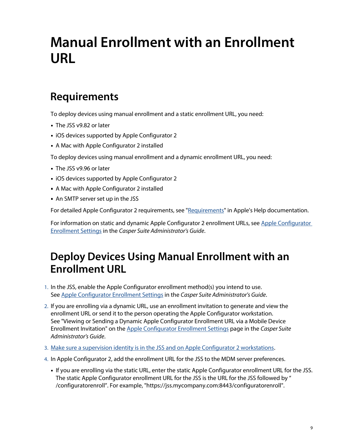# <span id="page-8-0"></span>**Manual Enrollment with an Enrollment URL**

## <span id="page-8-1"></span>**Requirements**

To deploy devices using manual enrollment and a static enrollment URL, you need:

- The JSS v9.82 or later
- **iOS devices supported by Apple Configurator 2**
- A Mac with Apple Configurator 2 installed

To deploy devices using manual enrollment and a dynamic enrollment URL, you need:

- The JSS v9.96 or later
- **iOS devices supported by Apple Configurator 2**
- A Mac with Apple Configurator 2 installed
- An SMTP server set up in the JSS

For detailed Apple Configurator 2 requirements, see "[Requirements"](http://help.apple.com/configurator/mac/2.1/#/cadbf9a73b) in Apple's Help documentation.

For information on static and dynamic Apple Configurator 2 enrollment URLs, see [Apple Configurator](http://docs.jamf.com/casper-suite/administrator-guide/Apple_Configurator_Enrollment_Settings.html)  [Enrollment Settings](http://docs.jamf.com/casper-suite/administrator-guide/Apple_Configurator_Enrollment_Settings.html) in the *Casper Suite Administrator's Guide*.

## <span id="page-8-2"></span>**Deploy Devices Using Manual Enrollment with an Enrollment URL**

- 1. In the JSS, enable the Apple Configurator enrollment method(s) you intend to use. See [Apple Configurator Enrollment Settings](http://docs.jamf.com/casper-suite/administrator-guide/Apple_Configurator_Enrollment_Settings.html) in the *Casper Suite Administrator's Guide*.
- 2. If you are enrolling via a dynamic URL, use an enrollment invitation to generate and view the enrollment URL or send it to the person operating the Apple Configurator workstation. See "Viewing or Sending a Dynamic Apple Configurator Enrollment URL via a Mobile Device Enrollment Invitation" on the [Apple Configurator Enrollment Settings](http://docs.jamf.com/casper-suite/administrator-guide/Apple_Configurator_Enrollment_Settings.html) page in the *Casper Suite Administrator's Guide*.
- 3. [Make sure a supervision identity is in the JSS and on Apple Configurator 2 workstations](#page-5-0).
- 4. In Apple Configurator 2, add the enrollment URL for the JSS to the MDM server preferences.
	- If you are enrolling via the static URL, enter the static Apple Configurator enrollment URL for the JSS. The static Apple Configurator enrollment URL for the JSS is the URL for the JSS followed by " /configuratorenroll". For example, "https://jss.mycompany.com:8443/configuratorenroll".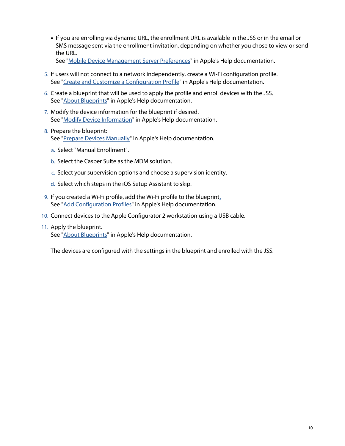If you are enrolling via dynamic URL, the enrollment URL is available in the JSS or in the email or SMS message sent via the enrollment invitation, depending on whether you chose to view or send the URL.

See "[Mobile Device Management Server Preferences"](http://help.apple.com/configurator/mac/2.1/#/cadF6A58F82) in Apple's Help documentation.

- 5. If users will not connect to a network independently, create a Wi-Fi configuration profile. See "[Create and Customize a Configuration Profile"](http://help.apple.com/configurator/mac/2.1/#/cad51314d0e) in Apple's Help documentation.
- 6. Create a blueprint that will be used to apply the profile and enroll devices with the JSS. See "[About Blueprints](http://help.apple.com/configurator/mac/2.1/#/cad5b401e306)" in Apple's Help documentation.
- 7. Modify the device information for the blueprint if desired. See "[Modify Device Information"](http://help.apple.com/configurator/mac/2.1/#/cadbf9c2a0) in Apple's Help documentation.
- 8. Prepare the blueprint: See "[Prepare Devices Manually](http://help.apple.com/configurator/mac/2.1/#/cad99bc2a859)" in Apple's Help documentation.
	- a. Select "Manual Enrollment".
	- b. Select the Casper Suite as the MDM solution.
	- c. Select your supervision options and choose a supervision identity.
	- d. Select which steps in the iOS Setup Assistant to skip.
- 9. If you created a Wi-Fi profile, add the Wi-Fi profile to the blueprint[.](http://help.apple.com/configurator/mac/2.1/#/cadbf9de27) See "[Add Configuration Profiles"](http://help.apple.com/configurator/mac/2.1/#/cadbf9de27) in Apple's Help documentation.
- 10. Connect devices to the Apple Configurator 2 workstation using a USB cable.
- 11. Apply the blueprint. See "**[About Blueprints](http://help.apple.com/configurator/mac/2.1/#/cad5b401e306)**" in Apple's Help documentation.

The devices are configured with the settings in the blueprint and enrolled with the JSS.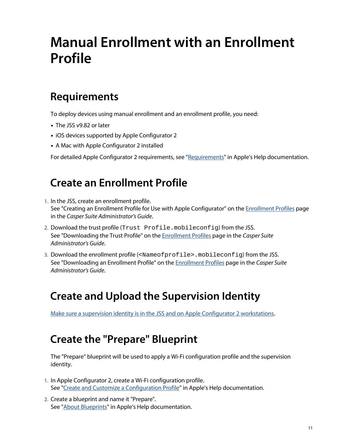# <span id="page-10-0"></span>**Manual Enrollment with an Enrollment Profile**

### <span id="page-10-1"></span>**Requirements**

To deploy devices using manual enrollment and an enrollment profile, you need:

- The JSS v9.82 or later
- **iOS devices supported by Apple Configurator 2**
- A Mac with Apple Configurator 2 installed

For detailed Apple Configurator 2 requirements, see "[Requirements"](http://help.apple.com/configurator/mac/2.1/#/cadbf9a73b) in Apple's Help documentation.

## **Create an Enrollment Profile**

- <span id="page-10-2"></span>1. In the JSS, create an enrollment profile. See "Creating an Enrollment Profile for Use with Apple Configurator" on the **Enrollment Profiles** page in the *Casper Suite Administrator's Guide*.
- 2. Download the trust profile (Trust Profile.mobileconfig) from the JSS. See "Downloading the Trust Profile" on the [Enrollment Profiles](http://docs.jamf.com/casper-suite/administrator-guide/Enrollment_Profiles.html) page in the *Casper Suite Administrator's Guide*.
- 3. Download the enrollment profile (<Nameofprofile>.mobileconfig) from the JSS. See "Downloading an Enrollment Profile" on the [Enrollment Profiles](http://docs.jamf.com/casper-suite/administrator-guide/Enrollment_Profiles.html) page in the *Casper Suite Administrator's Guide*.

## <span id="page-10-3"></span>**Create and Upload the Supervision Identity**

[Make sure a supervision identity is in the JSS and on Apple Configurator 2 workstations](#page-5-0).

### <span id="page-10-4"></span>**Create the "Prepare" Blueprint**

The "Prepare" blueprint will be used to apply a Wi-Fi configuration profile and the supervision identity.

- 1. In Apple Configurator 2, create a Wi-Fi configuration profile. See "[Create and Customize a Configuration Profile"](http://help.apple.com/configurator/mac/2.1/#/cad51314d0e) in Apple's Help documentation.
- 2. Create a blueprint and name it "Prepare". See "[About Blueprints](http://help.apple.com/configurator/mac/2.1/#/cad5b401e306)" in Apple's Help documentation.